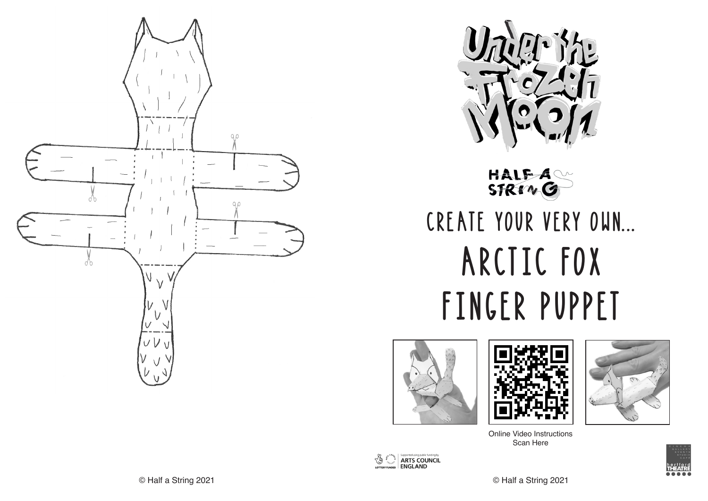



HALF A

# CREATE YOUR VERY OWN... ARCTIC FOX FINGER PUPPET







Online Video Instructions Scan Here





© Half a String 2021 © Half a String 2021